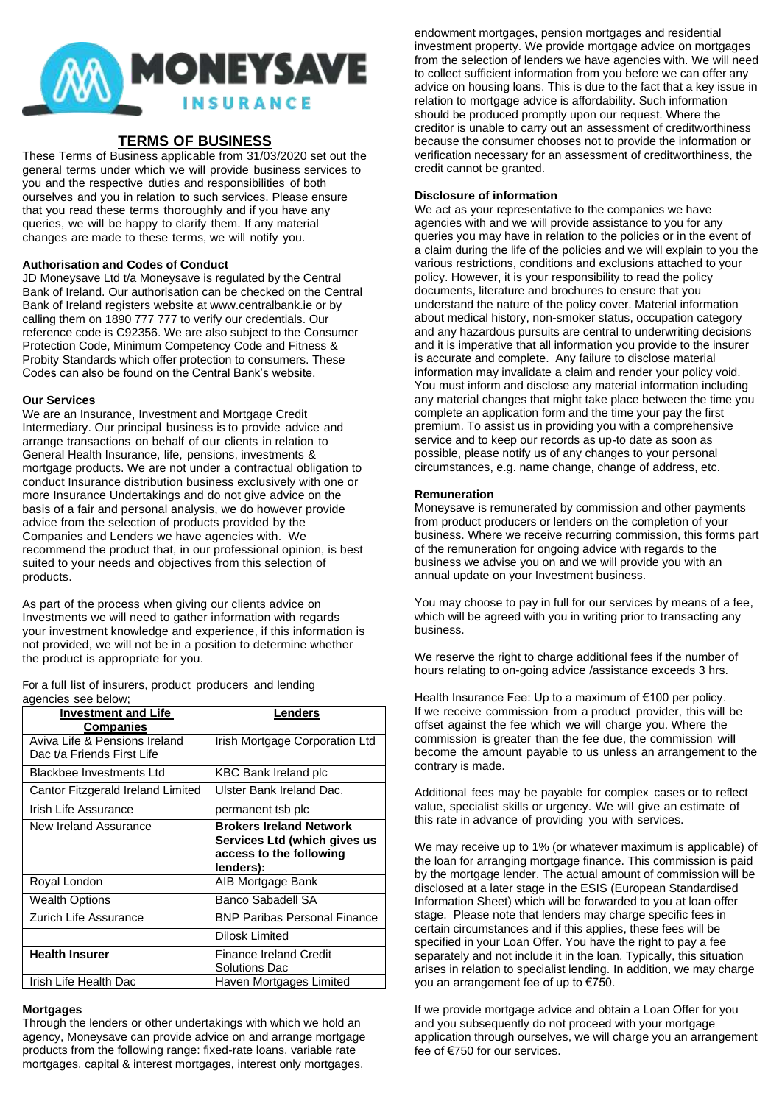

# **TERMS OF BUSINESS**

These Terms of Business applicable from 31/03/2020 set out the general terms under which we will provide business services to you and the respective duties and responsibilities of both ourselves and you in relation to such services. Please ensure that you read these terms thoroughly and if you have any queries, we will be happy to clarify them. If any material changes are made to these terms, we will notify you.

### **Authorisation and Codes of Conduct**

JD Moneysave Ltd t/a Moneysave is regulated by the Central Bank of Ireland. Our authorisation can be checked on the Central Bank of Ireland registers website at www.centralbank.ie or by calling them on 1890 777 777 to verify our credentials. Our reference code is C92356. We are also subject to the Consumer Protection Code, Minimum Competency Code and Fitness & Probity Standards which offer protection to consumers. These Codes can also be found on the Central Bank's website.

### **Our Services**

We are an Insurance, Investment and Mortgage Credit Intermediary. Our principal business is to provide advice and arrange transactions on behalf of our clients in relation to General Health Insurance, life, pensions, investments & mortgage products. We are not under a contractual obligation to conduct Insurance distribution business exclusively with one or more Insurance Undertakings and do not give advice on the basis of a fair and personal analysis, we do however provide advice from the selection of products provided by the Companies and Lenders we have agencies with. We recommend the product that, in our professional opinion, is best suited to your needs and objectives from this selection of products.

As part of the process when giving our clients advice on Investments we will need to gather information with regards your investment knowledge and experience, if this information is not provided, we will not be in a position to determine whether the product is appropriate for you.

For a full list of insurers, product producers and lending agencies see below;

| <b>Investment and Life</b><br><b>Companies</b>              | Lenders                                                                                                |
|-------------------------------------------------------------|--------------------------------------------------------------------------------------------------------|
| Aviva Life & Pensions Ireland<br>Dac t/a Friends First Life | Irish Mortgage Corporation Ltd                                                                         |
| <b>Blackbee Investments Ltd</b>                             | <b>KBC Bank Ireland plc</b>                                                                            |
| Cantor Fitzgerald Ireland Limited                           | Ulster Bank Ireland Dac.                                                                               |
| Irish Life Assurance                                        | permanent tsb plc                                                                                      |
| New Ireland Assurance                                       | <b>Brokers Ireland Network</b><br>Services Ltd (which gives us<br>access to the following<br>lenders): |
| Royal London                                                | AIB Mortgage Bank                                                                                      |
| <b>Wealth Options</b>                                       | Banco Sabadell SA                                                                                      |
| Zurich Life Assurance                                       | <b>BNP Paribas Personal Finance</b>                                                                    |
|                                                             | Dilosk Limited                                                                                         |
| Health Insurer                                              | Finance Ireland Credit<br>Solutions Dac                                                                |
| Irish Life Health Dac                                       | Haven Mortgages Limited                                                                                |

#### **Mortgages**

Through the lenders or other undertakings with which we hold an agency, Moneysave can provide advice on and arrange mortgage products from the following range: fixed-rate loans, variable rate mortgages, capital & interest mortgages, interest only mortgages,

endowment mortgages, pension mortgages and residential investment property. We provide mortgage advice on mortgages from the selection of lenders we have agencies with. We will need to collect sufficient information from you before we can offer any advice on housing loans. This is due to the fact that a key issue in relation to mortgage advice is affordability. Such information should be produced promptly upon our request. Where the creditor is unable to carry out an assessment of creditworthiness because the consumer chooses not to provide the information or verification necessary for an assessment of creditworthiness, the credit cannot be granted.

### **Disclosure of information**

We act as your representative to the companies we have agencies with and we will provide assistance to you for any queries you may have in relation to the policies or in the event of a claim during the life of the policies and we will explain to you the various restrictions, conditions and exclusions attached to your policy. However, it is your responsibility to read the policy documents, literature and brochures to ensure that you understand the nature of the policy cover. Material information about medical history, non-smoker status, occupation category and any hazardous pursuits are central to underwriting decisions and it is imperative that all information you provide to the insurer is accurate and complete. Any failure to disclose material information may invalidate a claim and render your policy void. You must inform and disclose any material information including any material changes that might take place between the time you complete an application form and the time your pay the first premium. To assist us in providing you with a comprehensive service and to keep our records as up-to date as soon as possible, please notify us of any changes to your personal circumstances, e.g. name change, change of address, etc.

### **Remuneration**

Moneysave is remunerated by commission and other payments from product producers or lenders on the completion of your business. Where we receive recurring commission, this forms part of the remuneration for ongoing advice with regards to the business we advise you on and we will provide you with an annual update on your Investment business.

You may choose to pay in full for our services by means of a fee, which will be agreed with you in writing prior to transacting any business.

We reserve the right to charge additional fees if the number of hours relating to on-going advice /assistance exceeds 3 hrs.

Health Insurance Fee: Up to a maximum of €100 per policy. If we receive commission from a product provider, this will be offset against the fee which we will charge you. Where the commission is greater than the fee due, the commission will become the amount payable to us unless an arrangement to the contrary is made.

Additional fees may be payable for complex cases or to reflect value, specialist skills or urgency. We will give an estimate of this rate in advance of providing you with services.

We may receive up to 1% (or whatever maximum is applicable) of the loan for arranging mortgage finance. This commission is paid by the mortgage lender. The actual amount of commission will be disclosed at a later stage in the ESIS (European Standardised Information Sheet) which will be forwarded to you at loan offer stage. Please note that lenders may charge specific fees in certain circumstances and if this applies, these fees will be specified in your Loan Offer. You have the right to pay a fee separately and not include it in the loan. Typically, this situation arises in relation to specialist lending. In addition, we may charge you an arrangement fee of up to €750.

If we provide mortgage advice and obtain a Loan Offer for you and you subsequently do not proceed with your mortgage application through ourselves, we will charge you an arrangement fee of €750 for our services.